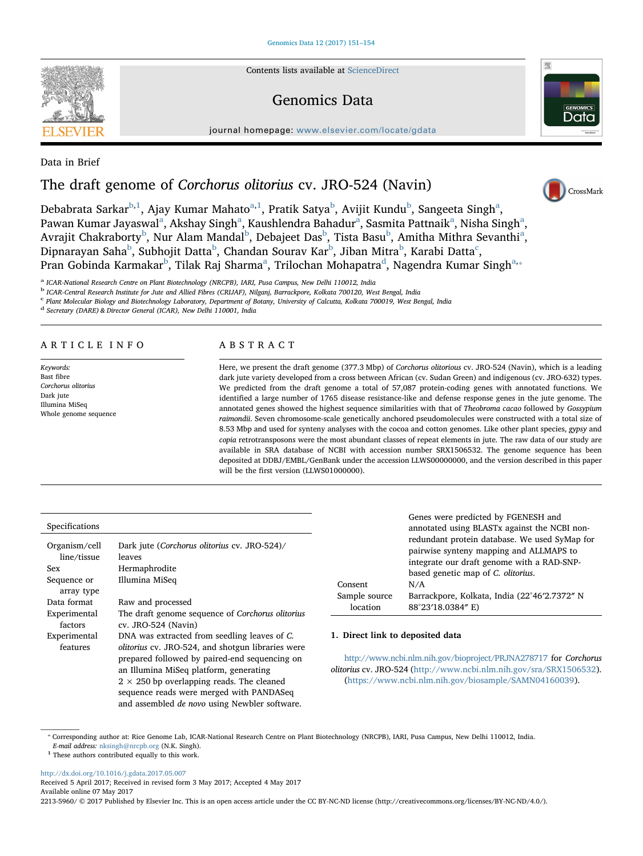Contents lists available at [ScienceDirect](http://www.sciencedirect.com/science/journal/22135960)

## Genomics Data

journal homepage: [www.elsevier.com/locate/gdata](http://www.elsevier.com/locate/gdata)

Data in Brief

# The draft genome of Corchorus olitorius cv. JRO-524 (Navin)

De[b](#page-0-0)[a](#page-0-2)brata Sarkar $^{\rm b,1}$  $^{\rm b,1}$  $^{\rm b,1}$  $^{\rm b,1}$ , Ajay Kumar Mahato $^{\rm a,1}$  $^{\rm a,1}$  $^{\rm a,1}$ , Pratik Satya $^{\rm b}$ , Avijit Kundu $^{\rm b}$ , Sangeeta Singh $^{\rm a}$ , P[a](#page-0-2)wan Kumar Jayaswal<sup>a</sup>, Akshay Singh<sup>a</sup>, Kaushlendra Bahadur<sup>a</sup>, Sasmita Pattnaik<sup>a</sup>, Nisha Singh<sup>a</sup>, Avrajit Chakra[b](#page-0-0)orty<sup>b</sup>, Nur Al[a](#page-0-2)m Mandal<sup>b</sup>, Debajeet Das<sup>b</sup>, Tista Basu<sup>b</sup>, Amitha Mithra Sevanthi<sup>a</sup>, Dipnarayan Saha $^{\rm b}$  $^{\rm b}$  $^{\rm b}$ , Subhojit Datta $^{\rm b}$ , Chandan Sourav Kar $^{\rm b}$ , Jiban Mitra $^{\rm b}$ , Karabi Datta $^{\rm c}$  $^{\rm c}$  $^{\rm c}$ , Pran Go[b](#page-0-0)ind[a](#page-0-2) Karmakar<sup>b</sup>, Tilak Raj Sharma<sup>a</sup>, Trilochan Mohapatra<sup>[d](#page-0-4)</sup>, Nagendra Kumar Singh<sup>a,</sup>\*

<span id="page-0-2"></span><sup>a</sup> ICAR-National Research Centre on Plant Biotechnology (NRCPB), IARI, Pusa Campus, New Delhi 110012, India

<span id="page-0-0"></span><sup>b</sup> ICAR-Central Research Institute for Jute and Allied Fibres (CRIJAF), Nilganj, Barrackpore, Kolkata 700120, West Bengal, India

<span id="page-0-3"></span><sup>c</sup> Plant Molecular Biology and Biotechnology Laboratory, Department of Botany, University of Calcutta, Kolkata 700019, West Bengal, India

<span id="page-0-4"></span><sup>d</sup> Secretary (DARE) & Director General (ICAR), New Delhi 110001, India

### ARTICLE INFO

Keywords: Bast fibre Corchorus olitorius Dark jute Illumina MiSeq Whole genome sequence

## ABSTRACT

Here, we present the draft genome (377.3 Mbp) of Corchorus olitorious cv. JRO-524 (Navin), which is a leading dark jute variety developed from a cross between African (cv. Sudan Green) and indigenous (cv. JRO-632) types. We predicted from the draft genome a total of 57,087 protein-coding genes with annotated functions. We identified a large number of 1765 disease resistance-like and defense response genes in the jute genome. The annotated genes showed the highest sequence similarities with that of Theobroma cacao followed by Gossypium raimondii. Seven chromosome-scale genetically anchored pseudomolecules were constructed with a total size of 8.53 Mbp and used for synteny analyses with the cocoa and cotton genomes. Like other plant species, gypsy and copia retrotransposons were the most abundant classes of repeat elements in jute. The raw data of our study are available in SRA database of NCBI with accession number SRX1506532. The genome sequence has been deposited at DDBJ/EMBL/GenBank under the accession LLWS00000000, and the version described in this paper will be the first version (LLWS01000000).

#### Specifications

| Organism/cell             | Dark jute (Corchorus olitorius cv. JRO-524)/             |  |  |
|---------------------------|----------------------------------------------------------|--|--|
| line/tissue               | leaves                                                   |  |  |
| Sex                       | Hermaphrodite                                            |  |  |
| Sequence or<br>array type | Illumina MiSeq                                           |  |  |
| Data format               | Raw and processed                                        |  |  |
| Experimental              | The draft genome sequence of Corchorus olitorius         |  |  |
| factors                   | $cv.$ JRO-524 (Navin)                                    |  |  |
| Experimental              | DNA was extracted from seedling leaves of C.             |  |  |
| features                  | <i>olitorius</i> cv. JRO-524, and shotgun libraries were |  |  |
|                           | prepared followed by paired-end sequencing on            |  |  |
|                           | an Illumina MiSeq platform, generating                   |  |  |
|                           | $2 \times 250$ bp overlapping reads. The cleaned         |  |  |
|                           | sequence reads were merged with PANDASeq                 |  |  |
|                           | and assembled <i>de novo</i> using Newbler software.     |  |  |

Genes were predicted by FGENESH and annotated using BLASTx against the NCBI nonredundant protein database. We used SyMap for pairwise synteny mapping and ALLMAPS to integrate our draft genome with a RAD-SNPbased genetic map of C. olitorius. Consent N/A Sample source location Barrackpore, Kolkata, India (22°46′2.7372″ N 88°23′18.0384″ E)

#### 1. Direct link to deposited data

<http://www.ncbi.nlm.nih.gov/bioproject/PRJNA278717> for Corchorus olitorius cv. JRO-524 [\(http://www.ncbi.nlm.nih.gov/sra/SRX1506532](http://www.ncbi.nlm.nih.gov/sra/SRX1506532)). [\(https://www.ncbi.nlm.nih.gov/biosample/SAMN04160039](https://www.ncbi.nlm.nih.gov/biosample/SAMN04160039)).

<span id="page-0-5"></span>⁎ Corresponding author at: Rice Genome Lab, ICAR-National Research Centre on Plant Biotechnology (NRCPB), IARI, Pusa Campus, New Delhi 110012, India. E-mail address: [nksingh@nrcpb.org](mailto:nksingh@nrcpb.org) (N.K. Singh).

<span id="page-0-1"></span> $^{\rm 1}$  These authors contributed equally to this work.

<http://dx.doi.org/10.1016/j.gdata.2017.05.007>

Received 5 April 2017; Received in revised form 3 May 2017; Accepted 4 May 2017 Available online 07 May 2017

2213-5960/ © 2017 Published by Elsevier Inc. This is an open access article under the CC BY-NC-ND license (http://creativecommons.org/licenses/BY-NC-ND/4.0/).





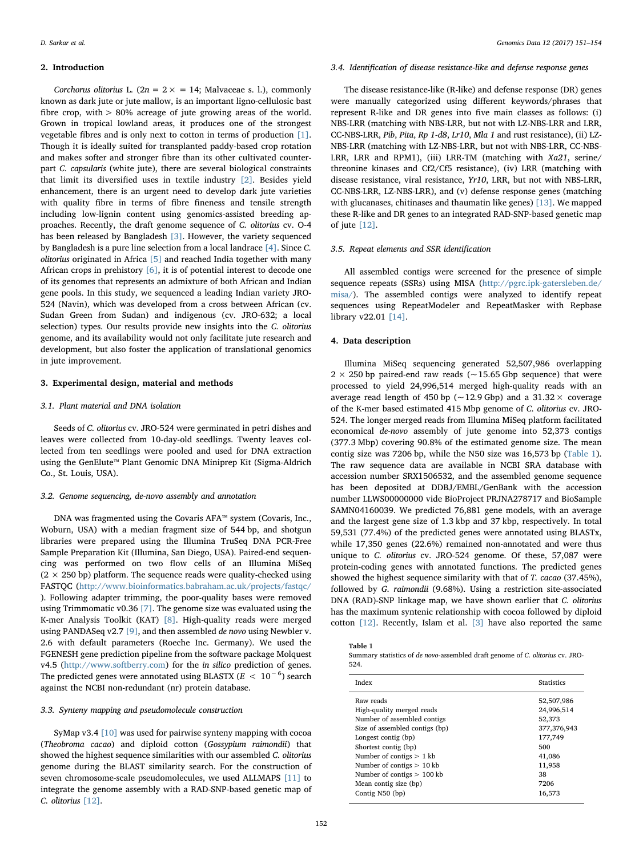#### 2. Introduction

Corchorus olitorius L. (2n =  $2 \times$  = 14; Malvaceae s. l.), commonly known as dark jute or jute mallow, is an important ligno-cellulosic bast fibre crop, with > 80% acreage of jute growing areas of the world. Grown in tropical lowland areas, it produces one of the strongest vegetable fibres and is only next to cotton in terms of production [\[1\]](#page-3-0). Though it is ideally suited for transplanted paddy-based crop rotation and makes softer and stronger fibre than its other cultivated counterpart C. capsularis (white jute), there are several biological constraints that limit its diversified uses in textile industry [\[2\]](#page-3-1). Besides yield enhancement, there is an urgent need to develop dark jute varieties with quality fibre in terms of fibre fineness and tensile strength including low-lignin content using genomics-assisted breeding approaches. Recently, the draft genome sequence of C. olitorius cv. O-4 has been released by Bangladesh [\[3\]](#page-3-2). However, the variety sequenced by Bangladesh is a pure line selection from a local landrace [\[4\].](#page-3-3) Since C. olitorius originated in Africa [\[5\]](#page-3-4) and reached India together with many African crops in prehistory  $[6]$ , it is of potential interest to decode one of its genomes that represents an admixture of both African and Indian gene pools. In this study, we sequenced a leading Indian variety JRO-524 (Navin), which was developed from a cross between African (cv. Sudan Green from Sudan) and indigenous (cv. JRO-632; a local selection) types. Our results provide new insights into the C. olitorius genome, and its availability would not only facilitate jute research and development, but also foster the application of translational genomics in jute improvement.

#### 3. Experimental design, material and methods

#### 3.1. Plant material and DNA isolation

Seeds of C. olitorius cv. JRO-524 were germinated in petri dishes and leaves were collected from 10-day-old seedlings. Twenty leaves collected from ten seedlings were pooled and used for DNA extraction using the GenElute™ Plant Genomic DNA Miniprep Kit (Sigma-Aldrich Co., St. Louis, USA).

#### 3.2. Genome sequencing, de-novo assembly and annotation

DNA was fragmented using the Covaris AFA™ system (Covaris, Inc., Woburn, USA) with a median fragment size of 544 bp, and shotgun libraries were prepared using the Illumina TruSeq DNA PCR-Free Sample Preparation Kit (Illumina, San Diego, USA). Paired-end sequencing was performed on two flow cells of an Illumina MiSeq  $(2 \times 250$  bp) platform. The sequence reads were quality-checked using FASTQC [\(http://www.bioinformatics.babraham.ac.uk/projects/fastqc/](http://www.bioinformatics.babraham.ac.uk/projects/fastqc) ). Following adapter trimming, the poor-quality bases were removed using Trimmomatic v0.36 [\[7\]](#page-3-6). The genome size was evaluated using the K-mer Analysis Toolkit (KAT) [\[8\].](#page-3-7) High-quality reads were merged using PANDASeq v2.7 [\[9\],](#page-3-8) and then assembled de novo using Newbler v. 2.6 with default parameters (Roeche Inc. Germany). We used the FGENESH gene prediction pipeline from the software package Molquest v4.5 [\(http://www.softberry.com](http://www.softberry.com)) for the in silico prediction of genes. The predicted genes were annotated using BLASTX ( $E < 10^{-6}$ ) search against the NCBI non-redundant (nr) protein database.

#### 3.3. Synteny mapping and pseudomolecule construction

SyMap v3.4 [\[10\]](#page-3-9) was used for pairwise synteny mapping with cocoa (Theobroma cacao) and diploid cotton (Gossypium raimondii) that showed the highest sequence similarities with our assembled C. olitorius genome during the BLAST similarity search. For the construction of seven chromosome-scale pseudomolecules, we used ALLMAPS [\[11\]](#page-3-10) to integrate the genome assembly with a RAD-SNP-based genetic map of C. olitorius [\[12\].](#page-3-11)

#### 3.4. Identification of disease resistance-like and defense response genes

The disease resistance-like (R-like) and defense response (DR) genes were manually categorized using different keywords/phrases that represent R-like and DR genes into five main classes as follows: (i) NBS-LRR (matching with NBS-LRR, but not with LZ-NBS-LRR and LRR, CC-NBS-LRR, Pib, Pita, Rp 1-d8, Lr10, Mla 1 and rust resistance), (ii) LZ-NBS-LRR (matching with LZ-NBS-LRR, but not with NBS-LRR, CC-NBS-LRR, LRR and RPM1), (iii) LRR-TM (matching with Xa21, serine/ threonine kinases and Cf2/Cf5 resistance), (iv) LRR (matching with disease resistance, viral resistance, Yr10, LRR, but not with NBS-LRR, CC-NBS-LRR, LZ-NBS-LRR), and (v) defense response genes (matching with glucanases, chitinases and thaumatin like genes) [\[13\].](#page-3-12) We mapped these R-like and DR genes to an integrated RAD-SNP-based genetic map of jute [\[12\]](#page-3-11).

#### 3.5. Repeat elements and SSR identification

All assembled contigs were screened for the presence of simple sequence repeats (SSRs) using MISA ([http://pgrc.ipk-gatersleben.de/](http://pgrc.ipk-gatersleben.de/misa) [misa/\)](http://pgrc.ipk-gatersleben.de/misa). The assembled contigs were analyzed to identify repeat sequences using RepeatModeler and RepeatMasker with Repbase library v22.01 [\[14\].](#page-3-13)

## 4. Data description

Illumina MiSeq sequencing generated 52,507,986 overlapping  $2 \times 250$  bp paired-end raw reads ( $\sim$  15.65 Gbp sequence) that were processed to yield 24,996,514 merged high-quality reads with an average read length of 450 bp ( $\sim$  12.9 Gbp) and a 31.32  $\times$  coverage of the K-mer based estimated 415 Mbp genome of C. olitorius cv. JRO-524. The longer merged reads from Illumina MiSeq platform facilitated economical de-novo assembly of jute genome into 52,373 contigs (377.3 Mbp) covering 90.8% of the estimated genome size. The mean contig size was 7206 bp, while the N50 size was 16,573 bp ([Table 1](#page-1-0)). The raw sequence data are available in NCBI SRA database with accession number SRX1506532, and the assembled genome sequence has been deposited at DDBJ/EMBL/GenBank with the accession number LLWS00000000 vide BioProject PRJNA278717 and BioSample SAMN04160039. We predicted 76,881 gene models, with an average and the largest gene size of 1.3 kbp and 37 kbp, respectively. In total 59,531 (77.4%) of the predicted genes were annotated using BLASTx, while 17,350 genes (22.6%) remained non-annotated and were thus unique to C. olitorius cv. JRO-524 genome. Of these, 57,087 were protein-coding genes with annotated functions. The predicted genes showed the highest sequence similarity with that of T. cacao (37.45%), followed by G. raimondii (9.68%). Using a restriction site-associated DNA (RAD)-SNP linkage map, we have shown earlier that C. olitorius has the maximum syntenic relationship with cocoa followed by diploid cotton [\[12\]](#page-3-11). Recently, Islam et al. [\[3\]](#page-3-2) have also reported the same

<span id="page-1-0"></span>Table 1

Summary statistics of de novo-assembled draft genome of C. olitorius cv. JRO-524.

| Index                          | <b>Statistics</b> |
|--------------------------------|-------------------|
| Raw reads                      | 52,507,986        |
| High-quality merged reads      | 24,996,514        |
| Number of assembled contigs    | 52,373            |
| Size of assembled contigs (bp) | 377,376,943       |
| Longest contig (bp)            | 177,749           |
| Shortest contig (bp)           | 500               |
| Number of contigs $> 1$ kb     | 41,086            |
| Number of contigs $> 10$ kb    | 11,958            |
| Number of contigs $> 100$ kb   | 38                |
| Mean contig size (bp)          | 7206              |
| Contig N50 (bp)                | 16,573            |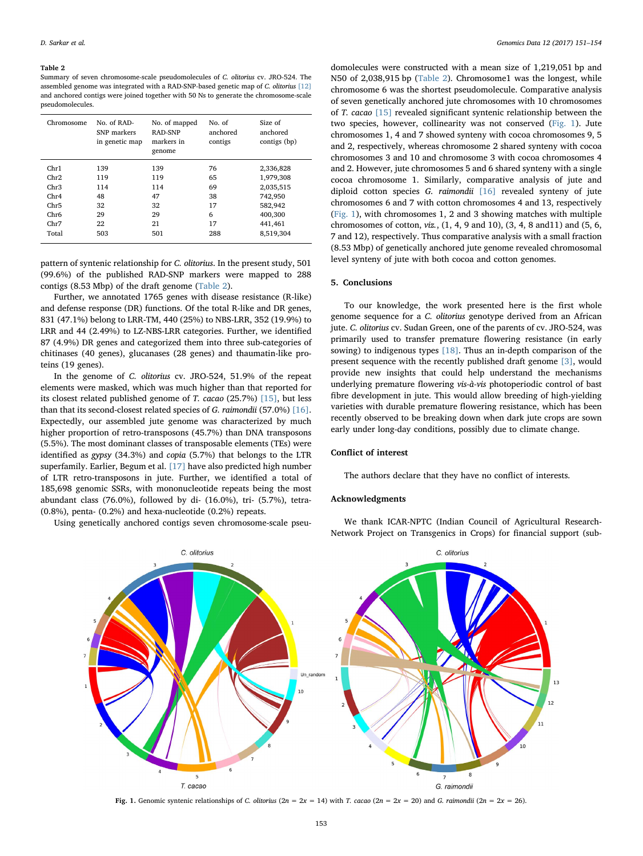#### <span id="page-2-0"></span>Table 2

Summary of seven chromosome-scale pseudomolecules of C. olitorius cv. JRO-524. The assembled genome was integrated with a RAD-SNP-based genetic map of C. olitorius [\[12\]](#page-3-11) and anchored contigs were joined together with 50 Ns to generate the chromosome-scale pseudomolecules.

| Chromosome | No. of RAD-<br>SNP markers<br>in genetic map | No. of mapped<br>RAD-SNP<br>markers in<br>genome | No. of<br>anchored<br>contigs | Size of<br>anchored<br>contigs (bp) |
|------------|----------------------------------------------|--------------------------------------------------|-------------------------------|-------------------------------------|
| Chr1       | 139                                          | 139                                              | 76                            | 2,336,828                           |
| Chr2       | 119                                          | 119                                              | 65                            | 1,979,308                           |
| Chr3       | 114                                          | 114                                              | 69                            | 2,035,515                           |
| Chr4       | 48                                           | 47                                               | 38                            | 742.950                             |
| Chr5       | 32                                           | 32                                               | 17                            | 582,942                             |
| Chr6       | 29                                           | 29                                               | 6                             | 400,300                             |
| Chr7       | 22                                           | 21                                               | 17                            | 441,461                             |
| Total      | 503                                          | 501                                              | 288                           | 8.519.304                           |
|            |                                              |                                                  |                               |                                     |

pattern of syntenic relationship for C. olitorius. In the present study, 501 (99.6%) of the published RAD-SNP markers were mapped to 288 contigs (8.53 Mbp) of the draft genome ([Table 2\)](#page-2-0).

Further, we annotated 1765 genes with disease resistance (R-like) and defense response (DR) functions. Of the total R-like and DR genes, 831 (47.1%) belong to LRR-TM, 440 (25%) to NBS-LRR, 352 (19.9%) to LRR and 44 (2.49%) to LZ-NBS-LRR categories. Further, we identified 87 (4.9%) DR genes and categorized them into three sub-categories of chitinases (40 genes), glucanases (28 genes) and thaumatin-like proteins (19 genes).

In the genome of C. olitorius cv. JRO-524, 51.9% of the repeat elements were masked, which was much higher than that reported for its closest related published genome of T. cacao (25.7%) [\[15\],](#page-3-14) but less than that its second-closest related species of G. raimondii (57.0%) [\[16\]](#page-3-15). Expectedly, our assembled jute genome was characterized by much higher proportion of retro-transposons (45.7%) than DNA transposons (5.5%). The most dominant classes of transposable elements (TEs) were identified as gypsy (34.3%) and copia (5.7%) that belongs to the LTR superfamily. Earlier, Begum et al. [\[17\]](#page-3-16) have also predicted high number of LTR retro-transposons in jute. Further, we identified a total of 185,698 genomic SSRs, with mononucleotide repeats being the most abundant class (76.0%), followed by di- (16.0%), tri- (5.7%), tetra- (0.8%), penta- (0.2%) and hexa-nucleotide (0.2%) repeats.

<span id="page-2-1"></span>Using genetically anchored contigs seven chromosome-scale pseu-

domolecules were constructed with a mean size of 1,219,051 bp and N50 of 2,038,915 bp [\(Table 2](#page-2-0)). Chromosome1 was the longest, while chromosome 6 was the shortest pseudomolecule. Comparative analysis of seven genetically anchored jute chromosomes with 10 chromosomes of T. cacao [\[15\]](#page-3-14) revealed significant syntenic relationship between the two species, however, collinearity was not conserved ([Fig. 1](#page-2-1)). Jute chromosomes 1, 4 and 7 showed synteny with cocoa chromosomes 9, 5 and 2, respectively, whereas chromosome 2 shared synteny with cocoa chromosomes 3 and 10 and chromosome 3 with cocoa chromosomes 4 and 2. However, jute chromosomes 5 and 6 shared synteny with a single cocoa chromosome 1. Similarly, comparative analysis of jute and diploid cotton species G. raimondii [\[16\]](#page-3-15) revealed synteny of jute chromosomes 6 and 7 with cotton chromosomes 4 and 13, respectively ([Fig. 1\)](#page-2-1), with chromosomes 1, 2 and 3 showing matches with multiple chromosomes of cotton, viz., (1, 4, 9 and 10), (3, 4, 8 and11) and (5, 6, 7 and 12), respectively. Thus comparative analysis with a small fraction (8.53 Mbp) of genetically anchored jute genome revealed chromosomal level synteny of jute with both cocoa and cotton genomes.

#### 5. Conclusions

To our knowledge, the work presented here is the first whole genome sequence for a C. olitorius genotype derived from an African jute. C. olitorius cv. Sudan Green, one of the parents of cv. JRO-524, was primarily used to transfer premature flowering resistance (in early sowing) to indigenous types [\[18\].](#page-3-17) Thus an in-depth comparison of the present sequence with the recently published draft genome [\[3\],](#page-3-2) would provide new insights that could help understand the mechanisms underlying premature flowering vis-à-vis photoperiodic control of bast fibre development in jute. This would allow breeding of high-yielding varieties with durable premature flowering resistance, which has been recently observed to be breaking down when dark jute crops are sown early under long-day conditions, possibly due to climate change.

#### Conflict of interest

The authors declare that they have no conflict of interests.

#### Acknowledgments

We thank ICAR-NPTC (Indian Council of Agricultural Research-Network Project on Transgenics in Crops) for financial support (sub-



Fig. 1. Genomic syntenic relationships of C. olitorius ( $2n = 2x = 14$ ) with T. cacao ( $2n = 2x = 20$ ) and G. raimondii ( $2n = 2x = 26$ ).